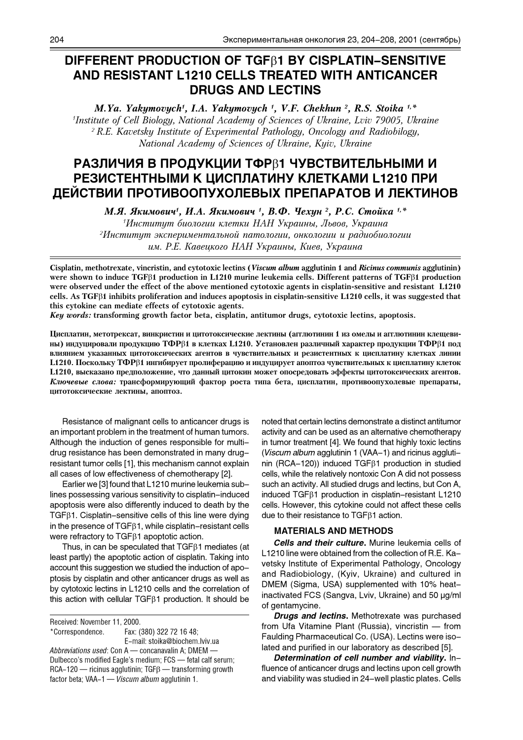# **DIFFERENT PRODUCTION OF TGF**b**1 BY CISPLATIN-SENSITIVE AND RESISTANT L1210 CELLS TREATED WITH ANTICANCER DRUGS AND LECTINS**

*M.Ya. Yakymovych<sup>1</sup> , I.A. Yakymovych <sup>1</sup> , V.F. Chekhun <sup>2</sup> , R.S. Stoika 1,\* 1 Institute of Cell Biology, National Academy of Sciences of Ukraine, Lviv 79005, Ukraine <sup>2</sup>R.E. Kavetsky Institute of Experimental Pathology, Oncology and Radiobilogy, National Academy of Sciences of Ukraine, Kyiv, Ukraine*

# РАЗЛИЧИЯ В ПРОДУКЦИИ ТФРВ1 ЧУВСТВИТЕЛЬНЫМИ И РЕЗИСТЕНТНЫМИ К ЦИСПЛАТИНУ КЛЕТКАМИ L1210 ПРИ ДЕИСТВИИ ПРОТИВООПУХОЛЕВЫХ ПРЕПАРАТОВ И ЛЕКТИНОВ

*M.Я. Якимович<sup>1</sup>, И.А. Якимович <sup>1</sup>, В.Ф. Чехин <sup>2</sup>, Р.С. Стойка<sup>и,</sup>\** 

<sup>1</sup>Институт биологии клетки НАН Украины, Львов, Украина <sup>2</sup>Институт экспериментальной патологии, онкологии и радиобиологии *èì. Ð.Å. Êàâåöêîãî ÍÀÍ Óêðàèíû, Êèåâ, Óêðàèíà*

**Cisplatin, methotrexate, vincristin, and cytotoxic lectins (***Viscum album* **agglutinin 1 and** *Ricinus communis* **agglutinin) were shown to induce TGF**b**1 production in L1210 murine leukemia cells. Different patterns of TGF**b**1 production were observed under the effect of the above mentioned cytotoxic agents in cisplatin-sensitive and resistant L1210 cells. As TGF**b**1 inhibits proliferation and induces apoptosis in cisplatin-sensitive L1210 cells, it was suggested that this cytokine can mediate effects of cytotoxic agents.**

*Key words:* **transforming growth factor beta, cisplatin, antitumor drugs, cytotoxic lectins, apoptosis.**

Цисплатин, метотрексат, винкристин и цитотоксические лектины (агглютинин 1 из омелы и агглютинин клещеви**ны) индуцировали продукцию ТФР**β1 в клетках L1210. Установлен различный характер продукции ТФРβ1 под влиянием указанных цитотоксических агентов в чувствительных и резистентных к цисплатину клетках линии L1210. Поскольку ТФР<sub>В1</sub> ингибирует пролиферацию и индуцирует апоптоз чувствительных к цисплатину клеток L1210, высказано предположение, что данный цитокин может опосредовать эффекты цитотоксических агентов. Ключевые слова: трансформирующий фактор роста типа бета, цисплатин, противоопухолевые препараты, цитотоксические лектины, апоптоз.

Resistance of malignant cells to anticancer drugs is an important problem in the treatment of human tumors. Although the induction of genes responsible for multidrug resistance has been demonstrated in many drugresistant tumor cells [1], this mechanism cannot explain all cases of low effectiveness of chemotherapy [2].

Earlier we [3] found that L1210 murine leukemia sublines possessing various sensitivity to cisplatin-induced apoptosis were also differently induced to death by the  $TGF\beta1$ . Cisplatin-sensitive cells of this line were dying in the presence of  $TGF\beta1$ , while cisplatin-resistant cells were refractory to  $TGF\beta1$  apoptotic action.

Thus, in can be speculated that  $TGF\beta1$  mediates (at least partly) the apoptotic action of cisplatin. Taking into account this suggestion we studied the induction of apoptosis by cisplatin and other anticancer drugs as well as by cytotoxic lectins in L1210 cells and the correlation of this action with cellular TGF $\beta$ 1 production. It should be

Received: November 11, 2000. \*Correspondence. Fax: (380) 322 72 16 48; E-mail: stoika@biochem.lviv.ua *Abbreviations used*: Con A concanavalin A; DMEM Dulbecco's modified Eagle's medium; FCS - fetal calf serum;  $RCA-120$  - ricinus agglutinin; TGF $\beta$  - transforming growth factor beta; VAA-1 *Viscum album* agglutinin 1.

noted that certain lectins demonstrate a distinct antitumor activity and can be used as an alternative chemotherapy in tumor treatment [4]. We found that highly toxic lectins (*Viscum album* agglutinin 1 (VAA-1) and ricinus agglutinin (RCA-120)) induced  $TGF\beta1$  production in studied cells, while the relatively nontoxic Con A did not possess such an activity. All studied drugs and lectins, but Con A, induced TGFb1 production in cisplatin-resistant L1210 cells. However, this cytokine could not affect these cells due to their resistance to  $TGF\beta1$  action.

## **MATERIALS AND METHODS**

*Cells and their culture***.** Murine leukemia cells of L1210 line were obtained from the collection of R.E. Kavetsky Institute of Experimental Pathology, Oncology and Radiobiology, (Kyiv, Ukraine) and cultured in DMEM (Sigma, USA) supplemented with 10% heatinactivated FCS (Sangva, Lviv, Ukraine) and 50 µg/ml of gentamycine.

*Drugs and lectins***.** Methotrexate was purchased from Ufa Vitamine Plant (Russia), vincristin  $-$  from Faulding Pharmaceutical Co. (USA). Lectins were isolated and purified in our laboratory as described [5].

*Determination of cell number and viability***.** Influence of anticancer drugs and lectins upon cell growth and viability was studied in 24-well plastic plates. Cells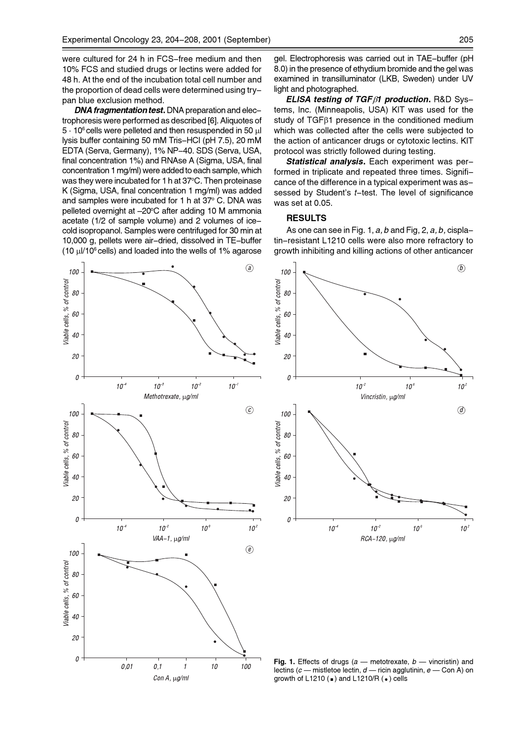were cultured for 24 h in FCS-free medium and then 10% FCS and studied drugs or lectins were added for 48 h. At the end of the incubation total cell number and the proportion of dead cells were determined using trypan blue exclusion method.

*DNA fragmentation test***.** DNA preparation and electrophoresis were performed as described [6]. Aliquotes of  $5 \cdot 10^6$  cells were pelleted and then resuspended in 50  $\mu$ l lysis buffer containing 50 mM Tris-HCI (pH 7.5), 20 mM EDTA (Serva, Germany), 1% NP-40. SDS (Serva, USA, final concentration 1%) and RNAse A (Sigma, USA, final concentration 1 mg/ml) were added to each sample, which was they were incubated for 1 h at 37°C. Then proteinase K (Sigma, USA, final concentration 1 mg/ml) was added and samples were incubated for 1 h at 37° C. DNA was pelleted overnight at -20°C after adding 10 M ammonia acetate (1/2 of sample volume) and 2 volumes of icecold isopropanol. Samples were centrifuged for 30 min at 10,000 g, pellets were air-dried, dissolved in TE-buffer (10  $\mu$ I/10<sup>6</sup> cells) and loaded into the wells of 1% agarose gel. Electrophoresis was carried out in TAE-buffer (pH 8.0) in the presence of ethydium bromide and the gel was examined in transilluminator (LKB, Sweden) under UV light and photographed.

*ELISA testing of TGF*b*1 production***.** R&D Systems, Inc. (Minneapolis, USA) KIT was used for the study of TGF $\beta$ 1 presence in the conditioned medium which was collected after the cells were subjected to the action of anticancer drugs or cytotoxic lectins. KIT protocol was strictly followed during testing.

*Statistical analysis***.** Each experiment was performed in triplicate and repeated three times. Significance of the difference in a typical experiment was assessed by Student's *t*-test. The level of significance was set at 0.05.

# **RESULTS**

As one can see in Fig. 1, *a, b* and Fig, 2, *a, b,* cisplatin-resistant L1210 cells were also more refractory to growth inhibiting and killing actions of other anticancer





Fig. 1. Effects of drugs (a - metotrexate, b - vincristin) and lectins (*c* - mistletoe lectin, *d* - ricin agglutinin, *e* - Con A) on growth of L1210 ( $\bullet$ ) and L1210/R ( $\bullet$ ) cells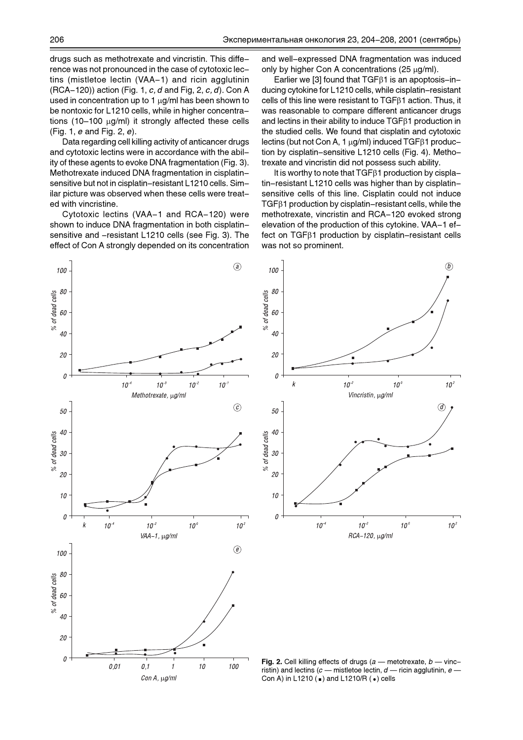drugs such as methotrexate and vincristin. This difference was not pronounced in the case of cytotoxic lectins (mistletoe lectin (VAA-1) and ricin agglutinin (RCA-120)) action (Fig. 1, *c, d* and Fig, 2, *c, d*). Con A used in concentration up to 1  $\mu$ g/ml has been shown to be nontoxic for L1210 cells, while in higher concentrations (10-100  $\mu$ g/ml) it strongly affected these cells (Fig. 1, *e* and Fig. 2, *e*).

Data regarding cell killing activity of anticancer drugs and cytotoxic lectins were in accordance with the ability of these agents to evoke DNA fragmentation (Fig. 3). Methotrexate induced DNA fragmentation in cisplatinsensitive but not in cisplatin-resistant L1210 cells. Similar picture was observed when these cells were treated with vincristine.

Cytotoxic lectins (VAA-1 and RCA-120) were shown to induce DNA fragmentation in both cisplatinsensitive and -resistant L1210 cells (see Fig. 3). The effect of Con A strongly depended on its concentration

Con A, µg/ml

and well-expressed DNA fragmentation was induced only by higher Con A concentrations  $(25 \mu g/ml)$ .

Earlier we [3] found that  $TGF\beta1$  is an apoptosis-inducing cytokine for L1210 cells, while cisplatin-resistant cells of this line were resistant to  $TGF\beta1$  action. Thus, it was reasonable to compare different anticancer drugs and lectins in their ability to induce TGFb1 production in the studied cells. We found that cisplatin and cytotoxic lectins (but not Con A, 1  $\mu$ g/ml) induced TGF $\beta$ 1 production by cisplatin-sensitive L1210 cells (Fig. 4). Methotrexate and vincristin did not possess such ability.

It is worthy to note that  $TGF\beta1$  production by cisplatin-resistant L1210 cells was higher than by cisplatinsensitive cells of this line. Cisplatin could not induce  $TGF\beta1$  production by cisplatin–resistant cells, while the methotrexate, vincristin and RCA-120 evoked strong elevation of the production of this cytokine. VAA-1 ef $fect$  on TGF $\beta$ 1 production by cisplatin-resistant cells was not so prominent.



ristin) and lectins  $(c -$  mistletoe lectin,  $d -$  ricin agglutinin,  $e -$ Con A) in L1210 ( $\bullet$ ) and L1210/R ( $\bullet$ ) cells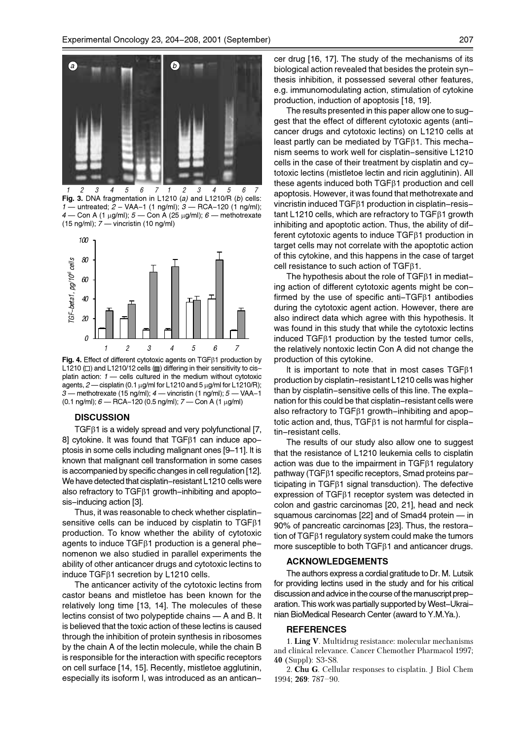

**Fig. 3.** DNA fragmentation in L1210 (*a)* and L1210/R (*b*) cells: *1* — untreated; *2* – VAA-1 (1 ng/ml); *3* — RCA-120 (1 ng/ml); *4* — Con A (1 μg/ml); *5* — Con A (25 μg/ml); *6* — methotrexate (15 ng/ml); 7 — vincristin (10 ng/ml)



Fig. 4. Effect of different cytotoxic agents on TGF<sub>B1</sub> production by L1210  $\Box$ ) and L1210/12 cells  $\Box$ ) differing in their sensitivity to cisplatin action:  $1 -$  cells cultured in the medium without cytotoxic agents,  $2$  - cisplatin (0.1  $\mu$ g/ml for L1210 and 5  $\mu$ g/ml for L1210/R); *3* methotrexate (15 ng/ml); *4* vincristin (1 ng/ml); *5* VAA-1 (0.1 ng/ml); *6* — RCA-120 (0.5 ng/ml); *7* — Con A (1 μg/ml)

### **DISCUSSION**

 $TGF\beta1$  is a widely spread and very polyfunctional [7, 8] cytokine. It was found that  $TGF\beta1$  can induce apoptosis in some cells including malignant ones [9-11]. It is known that malignant cell transformation in some cases is accompanied by specific changes in cell regulation [12]. We have detected that cisplatin-resistant L1210 cells were also refractory to TGF $\beta$ 1 growth-inhibiting and apoptosis-inducing action [3].

Thus, it was reasonable to check whether cisplatinsensitive cells can be induced by cisplatin to  $TGF\beta1$ production. To know whether the ability of cytotoxic agents to induce  $TGF\beta1$  production is a general phenomenon we also studied in parallel experiments the ability of other anticancer drugs and cytotoxic lectins to induce TGFb1 secretion by L1210 cells.

The anticancer activity of the cytotoxic lectins from castor beans and mistletoe has been known for the relatively long time [13, 14]. The molecules of these lectins consist of two polypeptide chains  $- A$  and B. It is believed that the toxic action of these lectins is caused through the inhibition of protein synthesis in ribosomes by the chain A of the lectin molecule, while the chain B is responsible for the interaction with specific receptors on cell surface [14, 15]. Recently, mistletoe agglutinin, especially its isoform I, was introduced as an anticancer drug [16, 17]. The study of the mechanisms of its biological action revealed that besides the protein synthesis inhibition, it possessed several other features, e.g. immunomodulating action, stimulation of cytokine production, induction of apoptosis [18, 19].

The results presented in this paper allow one to suggest that the effect of different cytotoxic agents (anticancer drugs and cytotoxic lectins) on L1210 cells at least partly can be mediated by  $TGF\beta1$ . This mechanism seems to work well for cisplatin-sensitive L1210 cells in the case of their treatment by cisplatin and cytotoxic lectins (mistletoe lectin and ricin agglutinin). All these agents induced both  $TGF\beta1$  production and cell apoptosis. However, it was found that methotrexate and vincristin induced  $TGF\beta1$  production in cisplatin-resistant L1210 cells, which are refractory to TGFB1 growth inhibiting and apoptotic action. Thus, the ability of different cytotoxic agents to induce  $TGF\beta1$  production in target cells may not correlate with the apoptotic action of this cytokine, and this happens in the case of target cell resistance to such action of TGFb1.

The hypothesis about the role of  $TGF\beta1$  in mediating action of different cytotoxic agents might be confirmed by the use of specific anti-TGFB1 antibodies during the cytotoxic agent action. However, there are also indirect data which agree with this hypothesis. It was found in this study that while the cytotoxic lectins induced  $TGF\beta1$  production by the tested tumor cells, the relatively nontoxic lectin Con A did not change the production of this cytokine.

It is important to note that in most cases  $TGF\beta1$ production by cisplatin-resistant L1210 cells was higher than by cisplatin-sensitive cells of this line. The explanation for this could be that cisplatin-resistant cells were also refractory to TGF<sub>B1</sub> growth-inhibiting and apoptotic action and, thus,  $TGF\beta1$  is not harmful for cisplatin-resistant cells.

The results of our study also allow one to suggest that the resistance of L1210 leukemia cells to cisplatin action was due to the impairment in  $TGF\beta1$  regulatory pathway (TGF $\beta$ 1 specific receptors, Smad proteins participating in TGF $\beta$ 1 signal transduction). The defective expression of  $TGF\beta1$  receptor system was detected in colon and gastric carcinomas [20, 21], head and neck squamous carcinomas  $[22]$  and of Smad4 protein  $-$  in 90% of pancreatic carcinomas [23]. Thus, the restoration of  $TGF\beta1$  regulatory system could make the tumors more susceptible to both  $TGF\beta1$  and anticancer drugs.

### **ACKNOWLEDGEMENTS**

The authors express a cordial gratitude to Dr. M. Lutsik for providing lectins used in the study and for his critical discussion and advice in the course of the manuscript preparation. This work was partially supported by West-Ukrainian BioMedical Research Center (award to Y.M.Ya.).

#### **REFERENCES**

1. **Ling V**. Multidrug resistance: molecular mechanisms and clinical relevance. Cancer Chemother Pharmacol 1997; **40** (Suppl): S3-S8.

2. **Chu G**. Cellular responses to cisplatin. J Biol Chem 1994; **269**: 787-90.